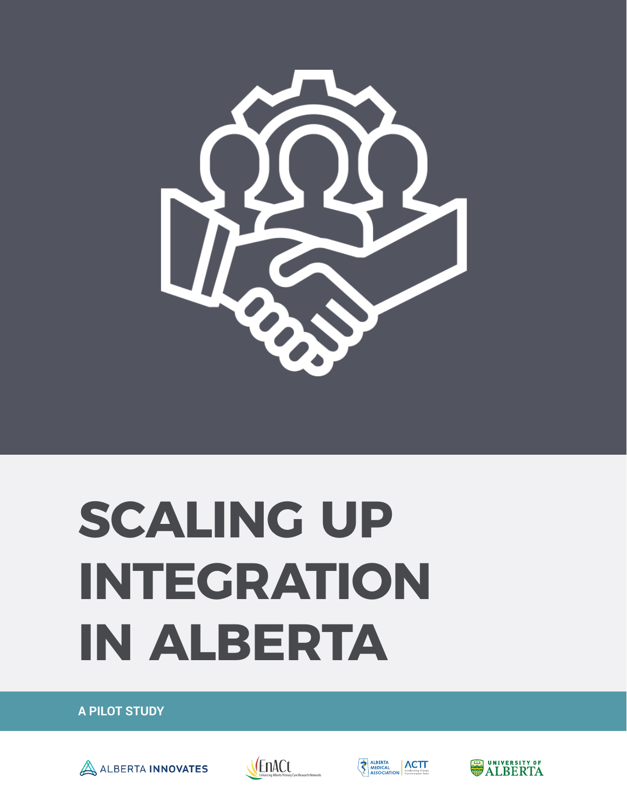

# **SCALING UP INTEGRATION IN ALBERTA**

**A PILOT STUDY**







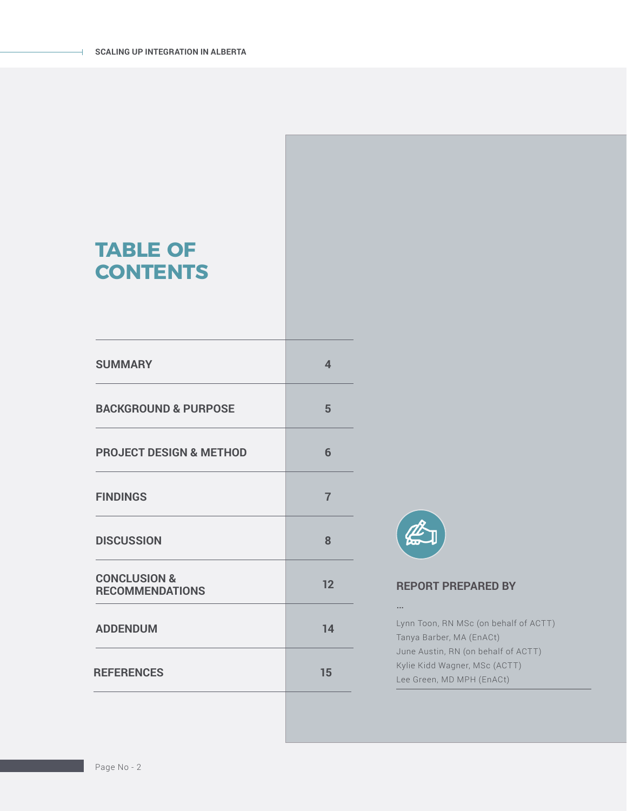### **TABLE OF CONTENTS**

| <b>SUMMARY</b>                                    | 4              |
|---------------------------------------------------|----------------|
| <b>BACKGROUND &amp; PURPOSE</b>                   | 5              |
| <b>PROJECT DESIGN &amp; METHOD</b>                | 6              |
| <b>FINDINGS</b>                                   | $\overline{7}$ |
| <b>DISCUSSION</b>                                 | 8              |
| <b>CONCLUSION &amp;</b><br><b>RECOMMENDATIONS</b> | 12             |
| <b>ADDENDUM</b>                                   | 14             |
| <b>REFERENCES</b>                                 | 15             |
|                                                   |                |



### **REPORT PREPARED BY**

…

Lynn Toon, RN MSc (on behalf of ACTT) Tanya Barber, MA (EnACt) June Austin, RN (on behalf of ACTT) Kylie Kidd Wagner, MSc (ACTT) Lee Green, MD MPH (EnACt)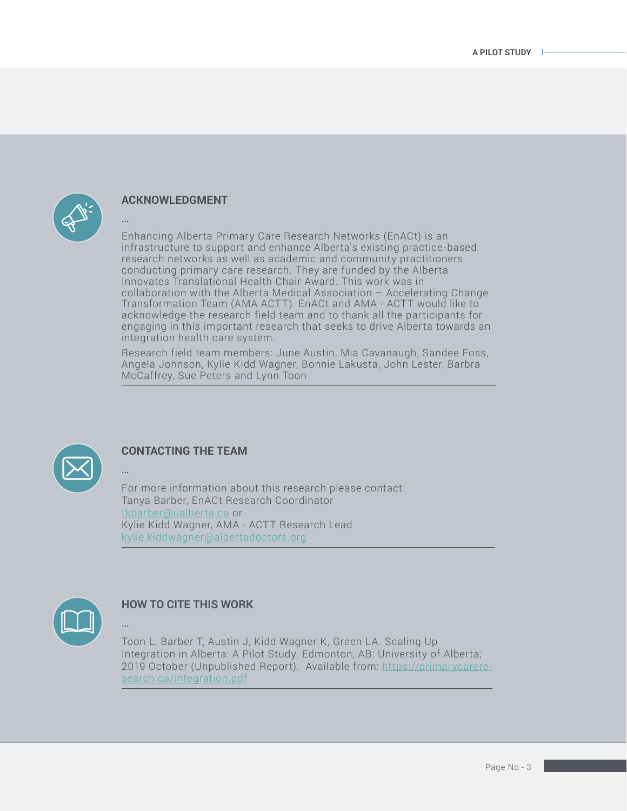

…

#### **ACKNOWLEDGMENT**

Enhancing Alberta Primary Care Research Networks (EnACt) is an infrastructure to support and enhance Alberta's existing practice-based research networks as well as academic and community practitioners conducting primary care research. They are funded by the Alberta Innovates Translational Health Chair Award. This work was in collaboration with the Alberta Medical Association – Accelerating Change Transformation Team (AMA ACTT). EnACt and AMA - ACTT would like to acknowledge the research field team and to thank all the participants for engaging in this important research that seeks to drive Alberta towards an integration health care system.

Research field team members: June Austin, Mia Cavanaugh, Sandee Foss, Angela Johnson, Kylie Kidd Wagner, Bonnie Lakusta, John Lester, Barbra McCaffrey, Sue Peters and Lynn Toon



#### **CONTACTING THE TEAM**

For more information about this research please contact: Tanya Barber, EnACt Research Coordinator [tkbarber@ualberta.ca](mailto:tkbarber%40ualberta.ca?subject=) or Kylie Kidd Wagner, AMA - ACTT Research Lead [kylie.kiddwagner@albertadoctors.org](mailto:kylie.kiddwagner%40albertadoctors.org?subject=)



…

…

### **HOW TO CITE THIS WORK**

Toon L, Barber T, Austin J, Kidd Wagner K, Green LA. Scaling Up Integration in Alberta: A Pilot Study. Edmonton, AB: University of Alberta; 2019 October (Unpublished Report). Available from: [https://primarycarere](https://primarycareresearch.ca/integration.pdf)[search.ca/integration.pdf](https://primarycareresearch.ca/integration.pdf)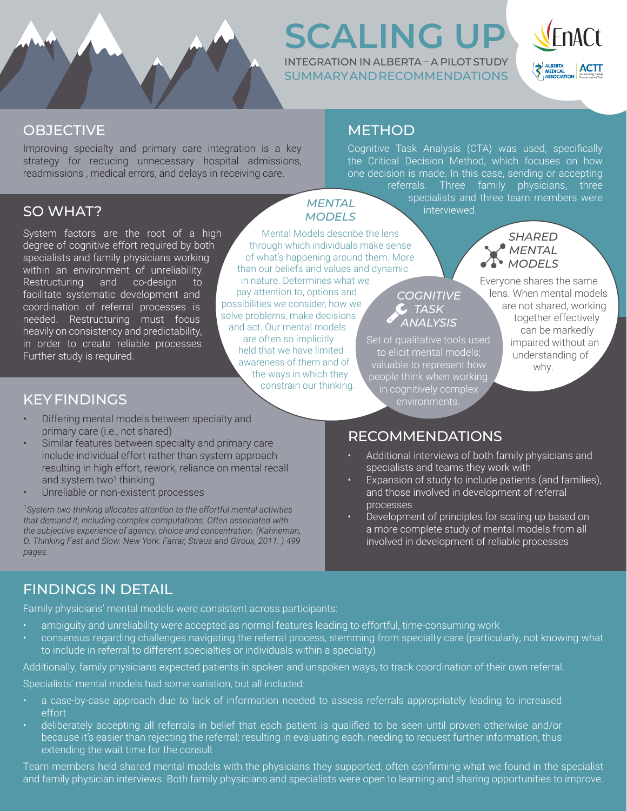

### **SCALING UP** INTEGRATION IN ALBERTA – A PILOT STUDY

SUMMARY AND RECOMMENDATIONS



### **OBJECTIVE**

Improving specialty and primary care integration is a key strategy for reducing unnecessary hospital admissions, readmissions , medical errors, and delays in receiving care.

### SO WHAT?

System factors are the root of a high degree of cognitive effort required by both specialists and family physicians working within an environment of unreliability. Restructuring and co-design to facilitate systematic development and coordination of referral processes is needed. Restructuring must focus heavily on consistency and predictability, in order to create reliable processes. Further study is required.

## **METHOD**

Cognitive Task Analysis (CTA) was used, specifically the Critical Decision Method, which focuses on how one decision is made. In this case, sending or accepting referrals. Three family physicians, three specialists and three team members were

interviewed.

*MENTAL MODELS*

Mental Models describe the lens through which individuals make sense of what's happening around them. More than our beliefs and values and dynamic in nature. Determines what we pay attention to, options and possibilities we consider, how we solve problems, make decisions and act. Our mental models are often so implicitly held that we have limited awareness of them and of the ways in which they Set of qualitative tools used to elicit mental models; valuable to represent how people think when working

constrain our thinking.

### *SHARED MENTAL MODELS*

Everyone shares the same lens. When mental models are not shared, working together effectively can be markedly impaired without an understanding of why.

### KEY FINDINGS

- Differing mental models between specialty and primary care (i.e., not shared)
- Similar features between specialty and primary care include individual effort rather than system approach resulting in high effort, rework, reliance on mental recall and system two<sup>1</sup> thinking
- Unreliable or non-existent processes

1 *System two thinking allocates attention to the effortful mental activities that demand it, including complex computations. Often associated with the subjective experience of agency, choice and concentration. (Kahneman, D. Thinking Fast and Slow. New York: Farrar, Straus and Giroux, 2011. ) 499 pages.*

# RECOMMENDATIONS

in cognitively complex environments.

*COGNITIVE TASK ANALYSIS*

- Additional interviews of both family physicians and specialists and teams they work with
- Expansion of study to include patients (and families), and those involved in development of referral processes
- Development of principles for scaling up based on a more complete study of mental models from all involved in development of reliable processes

### FINDINGS IN DETAIL

Family physicians' mental models were consistent across participants:

- ambiguity and unreliability were accepted as normal features leading to effortful, time-consuming work
- consensus regarding challenges navigating the referral process, stemming from specialty care (particularly, not knowing what to include in referral to different specialties or individuals within a specialty)

Additionally, family physicians expected patients in spoken and unspoken ways, to track coordination of their own referral.

Specialists' mental models had some variation, but all included:

- a case-by-case approach due to lack of information needed to assess referrals appropriately leading to increased effort
- deliberately accepting all referrals in belief that each patient is qualified to be seen until proven otherwise and/or because it's easier than rejecting the referral; resulting in evaluating each, needing to request further information, thus extending the wait time for the consult

Team members held shared mental models with the physicians they supported, often confirming what we found in the specialist and family physician interviews. Both family physicians and specialists were open to learning and sharing opportunities to improve.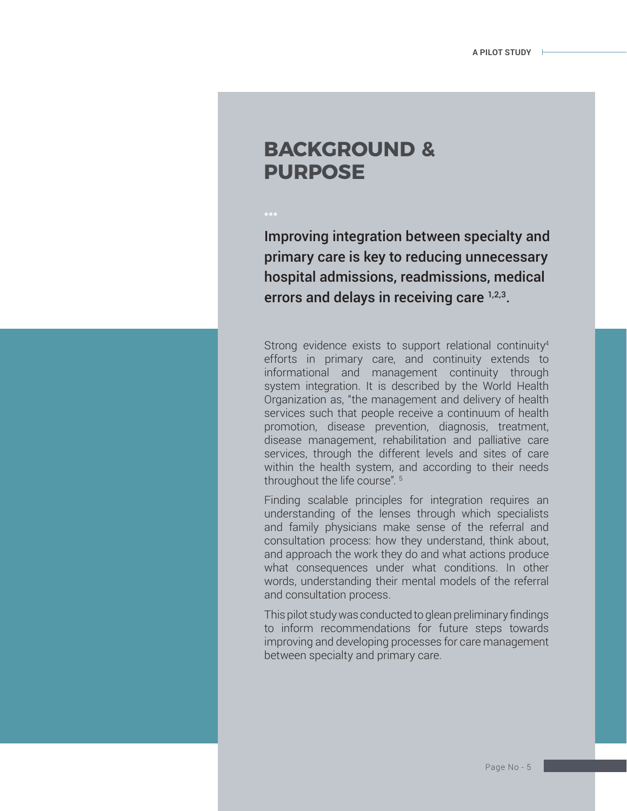### **BACKGROUND & PURPOSE**

Improving integration between specialty and primary care is key to reducing unnecessary hospital admissions, readmissions, medical errors and delays in receiving care  $1,2,3$ .

Strong evidence exists to support relational continuity<sup>4</sup> efforts in primary care, and continuity extends to informational and management continuity through system integration. It is described by the World Health Organization as, "the management and delivery of health services such that people receive a continuum of health promotion, disease prevention, diagnosis, treatment, disease management, rehabilitation and palliative care services, through the different levels and sites of care within the health system, and according to their needs throughout the life course". 5

Finding scalable principles for integration requires an understanding of the lenses through which specialists and family physicians make sense of the referral and consultation process: how they understand, think about, and approach the work they do and what actions produce what consequences under what conditions. In other words, understanding their mental models of the referral and consultation process.

This pilot study was conducted to glean preliminary findings to inform recommendations for future steps towards improving and developing processes for care management between specialty and primary care.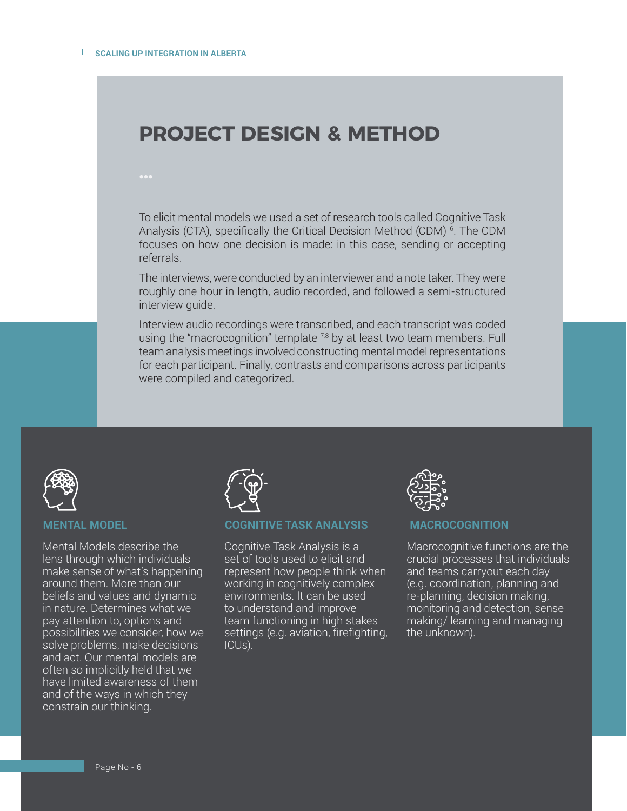### **PROJECT DESIGN & METHOD**

To elicit mental models we used a set of research tools called Cognitive Task Analysis (CTA), specifically the Critical Decision Method (CDM) 6. The CDM focuses on how one decision is made: in this case, sending or accepting referrals.

The interviews, were conducted by an interviewer and a note taker. They were roughly one hour in length, audio recorded, and followed a semi-structured interview guide.

Interview audio recordings were transcribed, and each transcript was coded using the "macrocognition" template  $^{7,8}$  by at least two team members. Full team analysis meetings involved constructing mental model representations for each participant. Finally, contrasts and comparisons across participants were compiled and categorized.



#### **MENTAL MODEL**

Mental Models describe the lens through which individuals make sense of what's happening around them. More than our beliefs and values and dynamic in nature. Determines what we pay attention to, options and possibilities we consider, how we solve problems, make decisions and act. Our mental models are often so implicitly held that we have limited awareness of them and of the ways in which they constrain our thinking.



#### **COGNITIVE TASK ANALYSIS**

Cognitive Task Analysis is a set of tools used to elicit and represent how people think when working in cognitively complex environments. It can be used to understand and improve team functioning in high stakes settings (e.g. aviation, firefighting, ICUs).



#### **MACROCOGNITION**

Macrocognitive functions are the crucial processes that individuals and teams carryout each day (e.g. coordination, planning and re-planning, decision making, monitoring and detection, sense making/ learning and managing the unknown).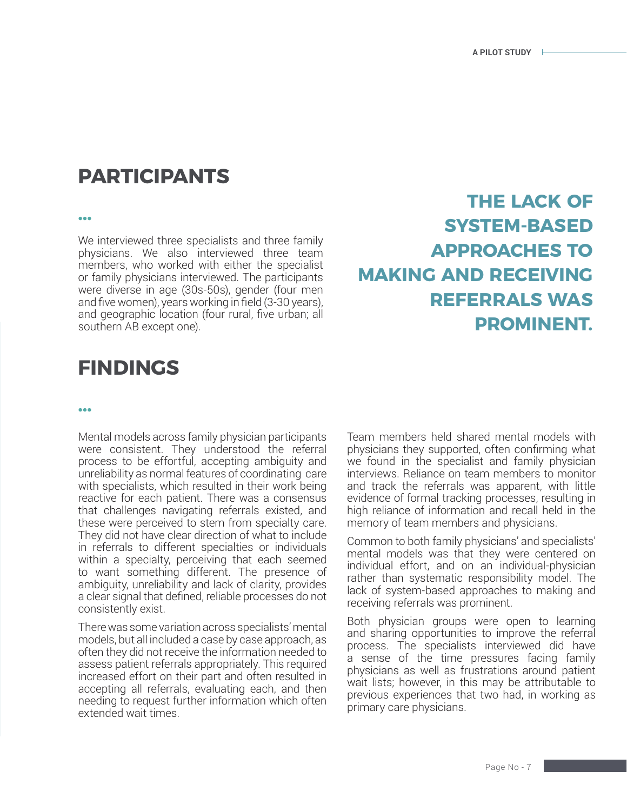### **PARTICIPANTS**

We interviewed three specialists and three family physicians. We also interviewed three team members, who worked with either the specialist or family physicians interviewed. The participants were diverse in age (30s-50s), gender (four men and five women), years working in field (3-30 years), and geographic location (four rural, five urban; all southern AB except one).

### **… THE LACK OF SYSTEM-BASED APPROACHES TO MAKING AND RECEIVING REFERRALS WAS PROMINENT.**

### **FINDINGS**

#### **…**

Mental models across family physician participants were consistent. They understood the referral process to be effortful, accepting ambiguity and unreliability as normal features of coordinating care with specialists, which resulted in their work being reactive for each patient. There was a consensus that challenges navigating referrals existed, and these were perceived to stem from specialty care. They did not have clear direction of what to include in referrals to different specialties or individuals within a specialty, perceiving that each seemed to want something different. The presence of ambiguity, unreliability and lack of clarity, provides a clear signal that defined, reliable processes do not consistently exist.

There was some variation across specialists' mental models, but all included a case by case approach, as often they did not receive the information needed to assess patient referrals appropriately. This required increased effort on their part and often resulted in accepting all referrals, evaluating each, and then needing to request further information which often extended wait times.

Team members held shared mental models with physicians they supported, often confirming what we found in the specialist and family physician interviews. Reliance on team members to monitor and track the referrals was apparent, with little evidence of formal tracking processes, resulting in high reliance of information and recall held in the memory of team members and physicians.

Common to both family physicians' and specialists' mental models was that they were centered on individual effort, and on an individual-physician rather than systematic responsibility model. The lack of system-based approaches to making and receiving referrals was prominent.

Both physician groups were open to learning and sharing opportunities to improve the referral process. The specialists interviewed did have a sense of the time pressures facing family physicians as well as frustrations around patient wait lists; however, in this may be attributable to previous experiences that two had, in working as primary care physicians.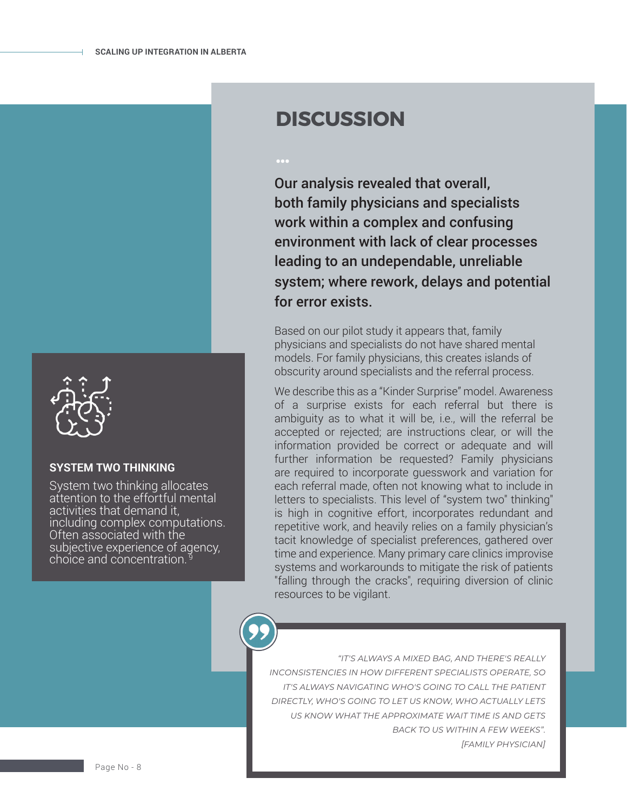

#### **SYSTEM TWO THINKING**

System two thinking allocates attention to the effortful mental activities that demand it, including complex computations. Often associated with the subjective experience of agency, choice and concentration. 9

### **DISCUSSION**

Our analysis revealed that overall, both family physicians and specialists work within a complex and confusing environment with lack of clear processes leading to an undependable, unreliable system; where rework, delays and potential for error exists.

Based on our pilot study it appears that, family physicians and specialists do not have shared mental models. For family physicians, this creates islands of obscurity around specialists and the referral process.

We describe this as a "Kinder Surprise" model. Awareness of a surprise exists for each referral but there is ambiguity as to what it will be, i.e., will the referral be accepted or rejected; are instructions clear, or will the information provided be correct or adequate and will further information be requested? Family physicians are required to incorporate guesswork and variation for each referral made, often not knowing what to include in letters to specialists. This level of "system two" thinking" is high in cognitive effort, incorporates redundant and repetitive work, and heavily relies on a family physician's tacit knowledge of specialist preferences, gathered over time and experience. Many primary care clinics improvise systems and workarounds to mitigate the risk of patients "falling through the cracks", requiring diversion of clinic resources to be vigilant.

*"IT'S ALWAYS A MIXED BAG, AND THERE'S REALLY INCONSISTENCIES IN HOW DIFFERENT SPECIALISTS OPERATE, SO IT'S ALWAYS NAVIGATING WHO'S GOING TO CALL THE PATIENT DIRECTLY, WHO'S GOING TO LET US KNOW, WHO ACTUALLY LETS US KNOW WHAT THE APPROXIMATE WAIT TIME IS AND GETS BACK TO US WITHIN A FEW WEEKS". [FAMILY PHYSICIAN]*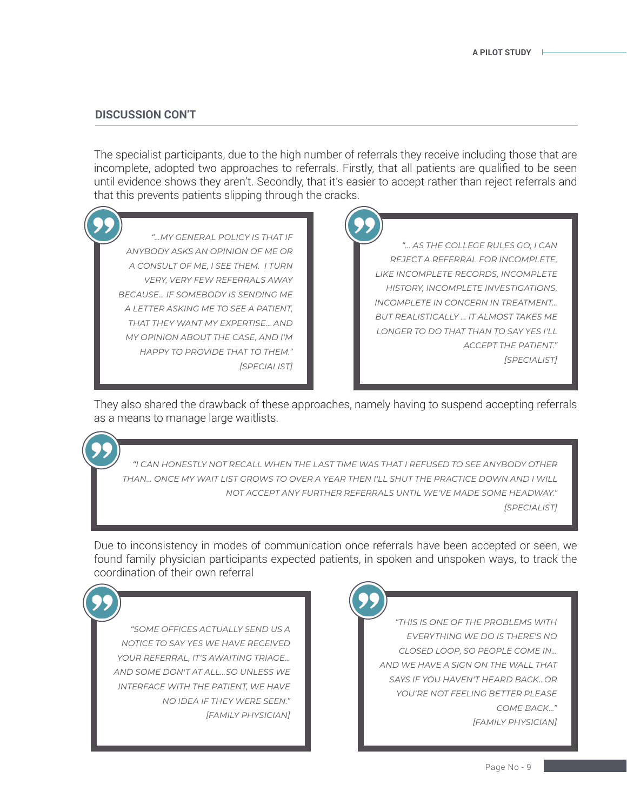#### **DISCUSSION CON'T**

The specialist participants, due to the high number of referrals they receive including those that are incomplete, adopted two approaches to referrals. Firstly, that all patients are qualified to be seen until evidence shows they aren't. Secondly, that it's easier to accept rather than reject referrals and that this prevents patients slipping through the cracks.

*"…MY GENERAL POLICY IS THAT IF ANYBODY ASKS AN OPINION OF ME OR A CONSULT OF ME, I SEE THEM. I TURN VERY, VERY FEW REFERRALS AWAY BECAUSE… IF SOMEBODY IS SENDING ME A LETTER ASKING ME TO SEE A PATIENT, THAT THEY WANT MY EXPERTISE... AND MY OPINION ABOUT THE CASE, AND I'M HAPPY TO PROVIDE THAT TO THEM." [SPECIALIST]*

*"… AS THE COLLEGE RULES GO, I CAN REJECT A REFERRAL FOR INCOMPLETE, LIKE INCOMPLETE RECORDS, INCOMPLETE HISTORY, INCOMPLETE INVESTIGATIONS, INCOMPLETE IN CONCERN IN TREATMENT… BUT REALISTICALLY ... IT ALMOST TAKES ME LONGER TO DO THAT THAN TO SAY YES I'LL ACCEPT THE PATIENT." [SPECIALIST]*

They also shared the drawback of these approaches, namely having to suspend accepting referrals as a means to manage large waitlists.

*"I CAN HONESTLY NOT RECALL WHEN THE LAST TIME WAS THAT I REFUSED TO SEE ANYBODY OTHER THAN... ONCE MY WAIT LIST GROWS TO OVER A YEAR THEN I'LL SHUT THE PRACTICE DOWN AND I WILL NOT ACCEPT ANY FURTHER REFERRALS UNTIL WE'VE MADE SOME HEADWAY." [SPECIALIST]*

Due to inconsistency in modes of communication once referrals have been accepted or seen, we found family physician participants expected patients, in spoken and unspoken ways, to track the coordination of their own referral

*"SOME OFFICES ACTUALLY SEND US A NOTICE TO SAY YES WE HAVE RECEIVED YOUR REFERRAL, IT'S AWAITING TRIAGE… AND SOME DON'T AT ALL…SO UNLESS WE INTERFACE WITH THE PATIENT, WE HAVE NO IDEA IF THEY WERE SEEN." [FAMILY PHYSICIAN]*



*"THIS IS ONE OF THE PROBLEMS WITH EVERYTHING WE DO IS THERE'S NO CLOSED LOOP, SO PEOPLE COME IN… AND WE HAVE A SIGN ON THE WALL THAT SAYS IF YOU HAVEN'T HEARD BACK…OR YOU'RE NOT FEELING BETTER PLEASE COME BACK…" [FAMILY PHYSICIAN]*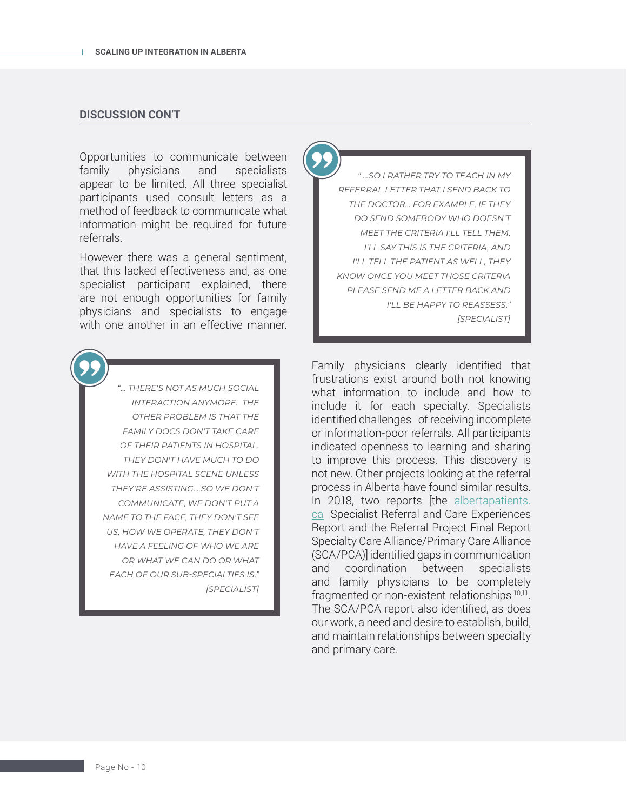#### **DISCUSSION CON'T**

Opportunities to communicate between family physicians and specialists appear to be limited. All three specialist participants used consult letters as a method of feedback to communicate what information might be required for future referrals.

However there was a general sentiment, that this lacked effectiveness and, as one specialist participant explained, there are not enough opportunities for family physicians and specialists to engage with one another in an effective manner.

> *"… THERE'S NOT AS MUCH SOCIAL INTERACTION ANYMORE. THE OTHER PROBLEM IS THAT THE FAMILY DOCS DON'T TAKE CARE OF THEIR PATIENTS IN HOSPITAL. THEY DON'T HAVE MUCH TO DO WITH THE HOSPITAL SCENE UNLESS THEY'RE ASSISTING... SO WE DON'T COMMUNICATE, WE DON'T PUT A NAME TO THE FACE, THEY DON'T SEE US, HOW WE OPERATE, THEY DON'T HAVE A FEELING OF WHO WE ARE OR WHAT WE CAN DO OR WHAT EACH OF OUR SUB-SPECIALTIES IS." [SPECIALIST]*

*" …SO I RATHER TRY TO TEACH IN MY REFERRAL LETTER THAT I SEND BACK TO THE DOCTOR… FOR EXAMPLE, IF THEY DO SEND SOMEBODY WHO DOESN'T MEET THE CRITERIA I'LL TELL THEM, I'LL SAY THIS IS THE CRITERIA, AND I'LL TELL THE PATIENT AS WELL, THEY KNOW ONCE YOU MEET THOSE CRITERIA PLEASE SEND ME A LETTER BACK AND I'LL BE HAPPY TO REASSESS." [SPECIALIST]*

Family physicians clearly identified that frustrations exist around both not knowing what information to include and how to include it for each specialty. Specialists identified challenges of receiving incomplete or information-poor referrals. All participants indicated openness to learning and sharing to improve this process. This discovery is not new. Other projects looking at the referral process in Alberta have found similar results. In 2018, two reports [the [albertapatients.](http://albertapatients.ca) [ca](http://albertapatients.ca) Specialist Referral and Care Experiences Report and the Referral Project Final Report Specialty Care Alliance/Primary Care Alliance (SCA/PCA)] identified gaps in communication and coordination between specialists and family physicians to be completely fragmented or non-existent relationships 10,11. The SCA/PCA report also identified, as does our work, a need and desire to establish, build, and maintain relationships between specialty and primary care.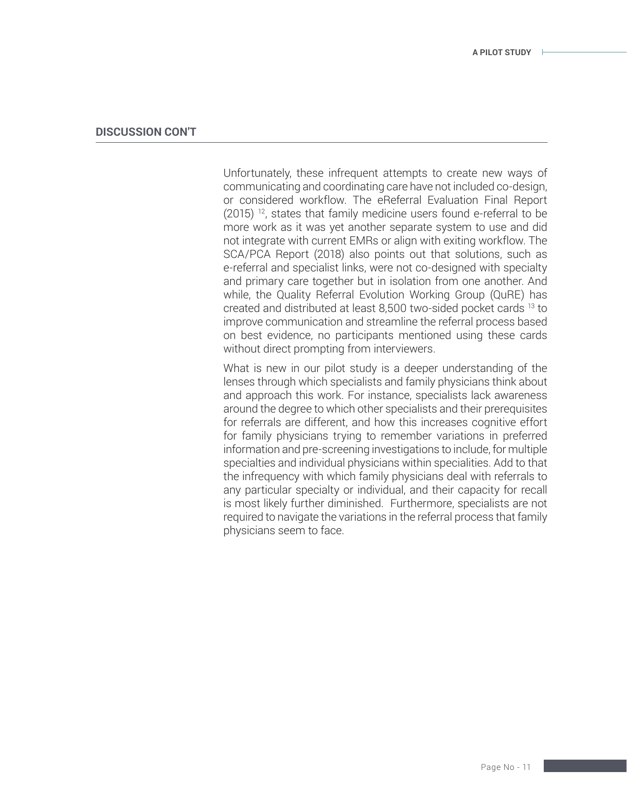#### **DISCUSSION CON'T**

Unfortunately, these infrequent attempts to create new ways of communicating and coordinating care have not included co-design, or considered workflow. The eReferral Evaluation Final Report  $(2015)$ <sup>12</sup>, states that family medicine users found e-referral to be more work as it was yet another separate system to use and did not integrate with current EMRs or align with exiting workflow. The SCA/PCA Report (2018) also points out that solutions, such as e-referral and specialist links, were not co-designed with specialty and primary care together but in isolation from one another. And while, the Quality Referral Evolution Working Group (QuRE) has created and distributed at least 8,500 two-sided pocket cards 13 to improve communication and streamline the referral process based on best evidence, no participants mentioned using these cards without direct prompting from interviewers.

What is new in our pilot study is a deeper understanding of the lenses through which specialists and family physicians think about and approach this work. For instance, specialists lack awareness around the degree to which other specialists and their prerequisites for referrals are different, and how this increases cognitive effort for family physicians trying to remember variations in preferred information and pre-screening investigations to include, for multiple specialties and individual physicians within specialities. Add to that the infrequency with which family physicians deal with referrals to any particular specialty or individual, and their capacity for recall is most likely further diminished. Furthermore, specialists are not required to navigate the variations in the referral process that family physicians seem to face.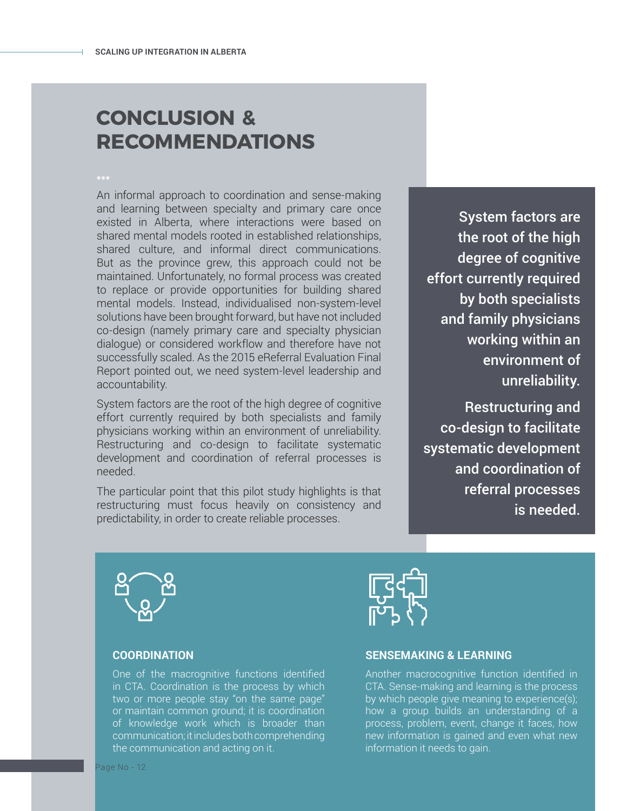### **CONCLUSION & RECOMMENDATIONS**

An informal approach to coordination and sense-making and learning between specialty and primary care once existed in Alberta, where interactions were based on shared mental models rooted in established relationships, shared culture, and informal direct communications. But as the province grew, this approach could not be maintained. Unfortunately, no formal process was created to replace or provide opportunities for building shared mental models. Instead, individualised non-system-level solutions have been brought forward, but have not included co-design (namely primary care and specialty physician dialogue) or considered workflow and therefore have not successfully scaled. As the 2015 eReferral Evaluation Final Report pointed out, we need system-level leadership and accountability.

System factors are the root of the high degree of cognitive effort currently required by both specialists and family physicians working within an environment of unreliability. Restructuring and co-design to facilitate systematic development and coordination of referral processes is needed.

The particular point that this pilot study highlights is that restructuring must focus heavily on consistency and predictability, in order to create reliable processes.

System factors are the root of the high degree of cognitive effort currently required by both specialists and family physicians working within an environment of unreliability.

Restructuring and co-design to facilitate systematic development and coordination of referral processes is needed.



#### **COORDINATION**

One of the macrognitive functions identified in CTA. Coordination is the process by which two or more people stay "on the same page" or maintain common ground; it is coordination of knowledge work which is broader than communication; it includes both comprehending the communication and acting on it.



Another macrocognitive function identified in CTA. Sense-making and learning is the process by which people give meaning to experience(s); how a group builds an understanding of a process, problem, event, change it faces, how new information is gained and even what new information it needs to gain.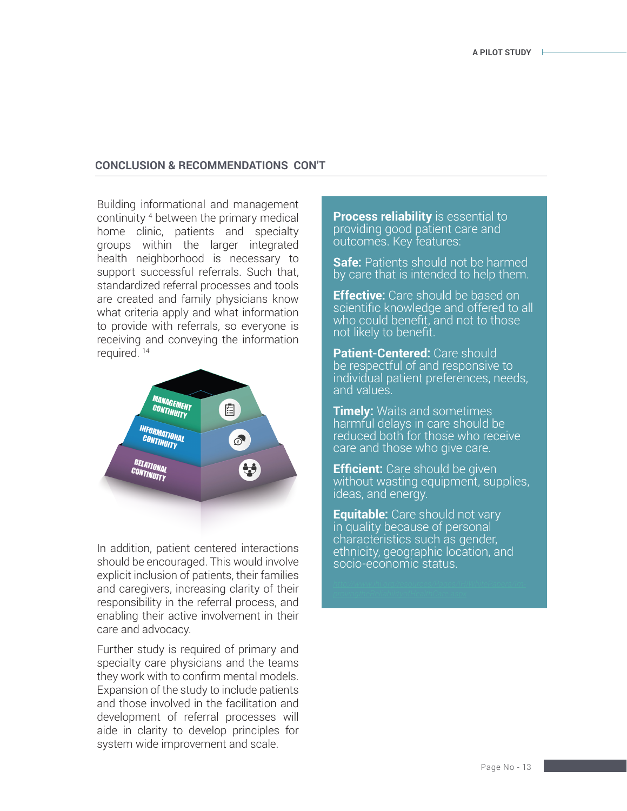#### **CONCLUSION & RECOMMENDATIONS CON'T**

Building informational and management continuity 4 between the primary medical home clinic, patients and specialty groups within the larger integrated health neighborhood is necessary to support successful referrals. Such that, standardized referral processes and tools are created and family physicians know what criteria apply and what information to provide with referrals, so everyone is receiving and conveying the information required. 14



In addition, patient centered interactions should be encouraged. This would involve explicit inclusion of patients, their families and caregivers, increasing clarity of their responsibility in the referral process, and enabling their active involvement in their care and advocacy.

Further study is required of primary and specialty care physicians and the teams they work with to confirm mental models. Expansion of the study to include patients and those involved in the facilitation and development of referral processes will aide in clarity to develop principles for system wide improvement and scale.

**Process reliability** is essential to providing good patient care and outcomes. Key features:

**Safe:** Patients should not be harmed by care that is intended to help them.

**Effective:** Care should be based on scientific knowledge and offered to all who could benefit, and not to those not likely to benefit.

**Patient-Centered:** Care should be respectful of and responsive to individual patient preferences, needs, and values.

**Timely:** Waits and sometimes harmful delays in care should be reduced both for those who receive care and those who give care.

**Efficient:** Care should be given without wasting equipment, supplies, ideas, and energy.

**Equitable:** Care should not vary in quality because of personal characteristics such as gender, ethnicity, geographic location, and socio-economic status.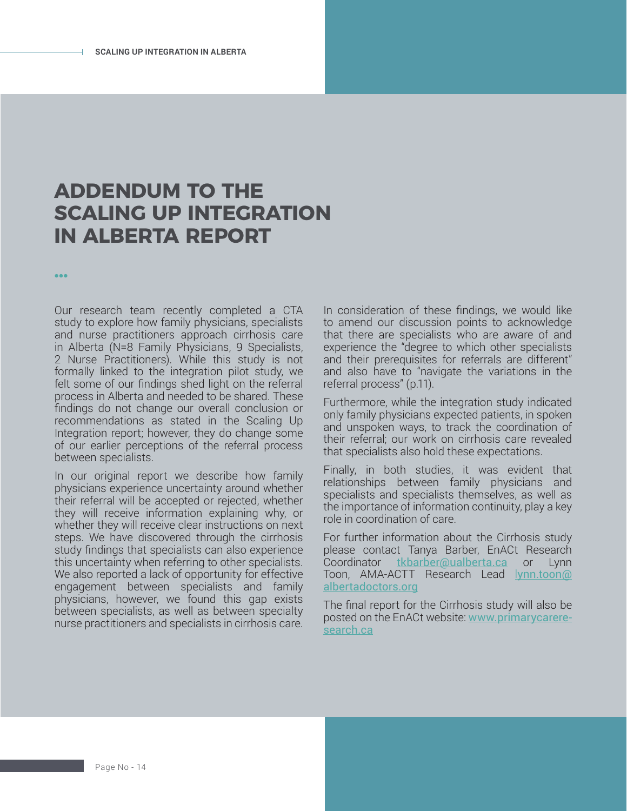### **ADDENDUM TO THE SCALING UP INTEGRATION IN ALBERTA REPORT**

Our research team recently completed a CTA study to explore how family physicians, specialists and nurse practitioners approach cirrhosis care in Alberta (N=8 Family Physicians, 9 Specialists, 2 Nurse Practitioners). While this study is not formally linked to the integration pilot study, we felt some of our findings shed light on the referral process in Alberta and needed to be shared. These findings do not change our overall conclusion or recommendations as stated in the Scaling Up Integration report; however, they do change some of our earlier perceptions of the referral process between specialists.

**…**

In our original report we describe how family physicians experience uncertainty around whether their referral will be accepted or rejected, whether they will receive information explaining why, or whether they will receive clear instructions on next steps. We have discovered through the cirrhosis study findings that specialists can also experience this uncertainty when referring to other specialists. We also reported a lack of opportunity for effective engagement between specialists and family physicians, however, we found this gap exists between specialists, as well as between specialty nurse practitioners and specialists in cirrhosis care.

In consideration of these findings, we would like to amend our discussion points to acknowledge that there are specialists who are aware of and experience the "degree to which other specialists and their prerequisites for referrals are different" and also have to "navigate the variations in the referral process" (p.11).

Furthermore, while the integration study indicated only family physicians expected patients, in spoken and unspoken ways, to track the coordination of their referral; our work on cirrhosis care revealed that specialists also hold these expectations.

Finally, in both studies, it was evident that relationships between family physicians and specialists and specialists themselves, as well as the importance of information continuity, play a key role in coordination of care.

For further information about the Cirrhosis study please contact Tanya Barber, EnACt Research Coordinator [tkbarber@ualberta.ca](mailto:tkbarber%40ualberta.ca?subject=) or Lynn Toon, AMA-ACTT Research Lead l[ynn.toon@](mailto:lynn.toon%40albertadoctors.org?subject=) [albertadoctors.org](mailto:lynn.toon%40albertadoctors.org?subject=)

The final report for the Cirrhosis study will also be posted on the EnACt website: [www.primarycarere](http://www.primarycareresearch.ca)[search.ca](http://www.primarycareresearch.ca)